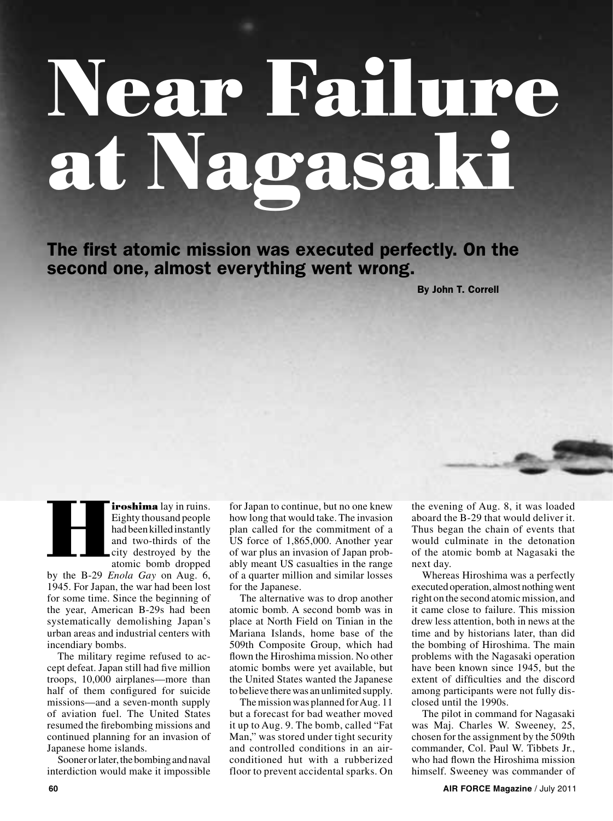# **Near Failure at Nagasaki**

The first atomic mission was executed perfectly. On the second one, almost everything went wrong.

By John T. Correll

**iroshima** lay in ruins. Eighty thousand people had been killed instantly and two-thirds of the city destroyed by the atomic bomb dropped **H** 

by the B-29 *Enola Gay* on Aug. 6, 1945. For Japan, the war had been lost for some time. Since the beginning of the year, American B-29s had been systematically demolishing Japan's urban areas and industrial centers with incendiary bombs.

The military regime refused to accept defeat. Japan still had five million troops, 10,000 airplanes—more than half of them configured for suicide missions—and a seven-month supply of aviation fuel. The United States resumed the firebombing missions and continued planning for an invasion of Japanese home islands.

Sooner or later, the bombing and naval interdiction would make it impossible for Japan to continue, but no one knew how long that would take. The invasion plan called for the commitment of a US force of 1,865,000. Another year of war plus an invasion of Japan probably meant US casualties in the range of a quarter million and similar losses for the Japanese.

The alternative was to drop another atomic bomb. A second bomb was in place at North Field on Tinian in the Mariana Islands, home base of the 509th Composite Group, which had flown the Hiroshima mission. No other atomic bombs were yet available, but the United States wanted the Japanese to believe there was an unlimited supply.

The mission was planned for Aug. 11 but a forecast for bad weather moved it up to Aug. 9. The bomb, called "Fat Man," was stored under tight security and controlled conditions in an airconditioned hut with a rubberized floor to prevent accidental sparks. On

the evening of Aug. 8, it was loaded aboard the B-29 that would deliver it. Thus began the chain of events that would culminate in the detonation of the atomic bomb at Nagasaki the next day.

Whereas Hiroshima was a perfectly executed operation, almost nothing went right on the second atomic mission, and it came close to failure. This mission drew less attention, both in news at the time and by historians later, than did the bombing of Hiroshima. The main problems with the Nagasaki operation have been known since 1945, but the extent of difficulties and the discord among participants were not fully disclosed until the 1990s.

The pilot in command for Nagasaki was Maj. Charles W. Sweeney, 25, chosen for the assignment by the 509th commander, Col. Paul W. Tibbets Jr., who had flown the Hiroshima mission himself. Sweeney was commander of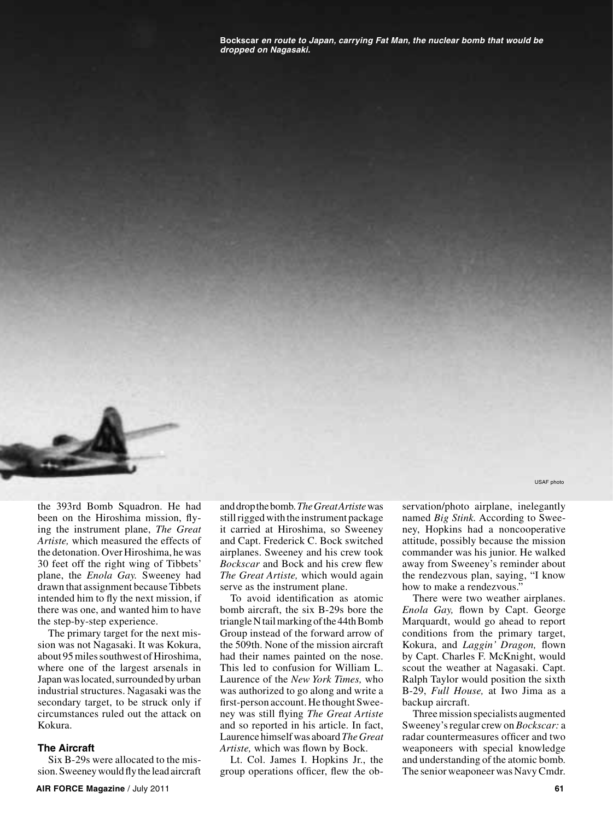**Bockscar** *en route to Japan, carrying Fat Man, the nuclear bomb that would be dropped on Nagasaki.*



the 393rd Bomb Squadron. He had been on the Hiroshima mission, flying the instrument plane, *The Great Artiste,* which measured the effects of the detonation. Over Hiroshima, he was 30 feet off the right wing of Tibbets' plane, the *Enola Gay.* Sweeney had drawn that assignment because Tibbets intended him to fly the next mission, if there was one, and wanted him to have the step-by-step experience.

The primary target for the next mission was not Nagasaki. It was Kokura, about 95 miles southwest of Hiroshima, where one of the largest arsenals in Japan was located, surrounded by urban industrial structures. Nagasaki was the secondary target, to be struck only if circumstances ruled out the attack on Kokura.

## **The Aircraft**

Six B-29s were allocated to the mission. Sweeney would fly the lead aircraft and drop the bomb. *The Great Artiste* was still rigged with the instrument package it carried at Hiroshima, so Sweeney and Capt. Frederick C. Bock switched airplanes. Sweeney and his crew took *Bockscar* and Bock and his crew flew *The Great Artiste,* which would again serve as the instrument plane.

To avoid identification as atomic bomb aircraft, the six B-29s bore the triangle N tail marking of the 44th Bomb Group instead of the forward arrow of the 509th. None of the mission aircraft had their names painted on the nose. This led to confusion for William L. Laurence of the *New York Times,* who was authorized to go along and write a first-person account. He thought Sweeney was still flying *The Great Artiste* and so reported in his article. In fact, Laurence himself was aboard *The Great Artiste,* which was flown by Bock.

Lt. Col. James I. Hopkins Jr., the group operations officer, flew the ob-

servation/photo airplane, inelegantly named *Big Stink.* According to Sweeney, Hopkins had a noncooperative attitude, possibly because the mission commander was his junior. He walked away from Sweeney's reminder about the rendezvous plan, saying, "I know how to make a rendezvous.'

There were two weather airplanes. *Enola Gay,* flown by Capt. George Marquardt, would go ahead to report conditions from the primary target, Kokura, and *Laggin' Dragon,* flown by Capt. Charles F. McKnight, would scout the weather at Nagasaki. Capt. Ralph Taylor would position the sixth B-29, *Full House,* at Iwo Jima as a backup aircraft.

Three mission specialists augmented Sweeney's regular crew on *Bockscar:* a radar countermeasures officer and two weaponeers with special knowledge and understanding of the atomic bomb. The senior weaponeer was Navy Cmdr.

USAF photo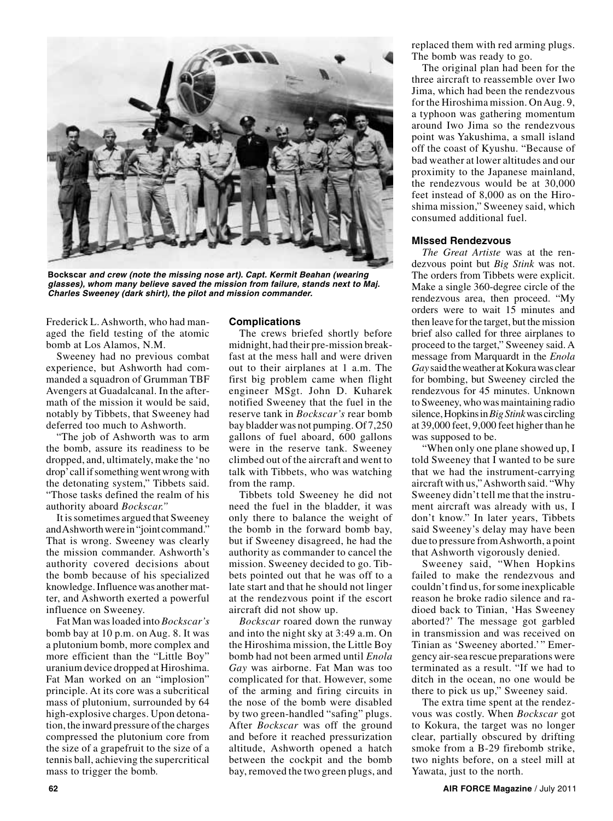

**Bockscar** *and crew (note the missing nose art). Capt. Kermit Beahan (wearing glasses), whom many believe saved the mission from failure, stands next to Maj. Charles Sweeney (dark shirt), the pilot and mission commander.*

Frederick L. Ashworth, who had managed the field testing of the atomic bomb at Los Alamos, N.M.

Sweeney had no previous combat experience, but Ashworth had commanded a squadron of Grumman TBF Avengers at Guadalcanal. In the aftermath of the mission it would be said, notably by Tibbets, that Sweeney had deferred too much to Ashworth.

"The job of Ashworth was to arm the bomb, assure its readiness to be dropped, and, ultimately, make the 'no drop' call if something went wrong with the detonating system," Tibbets said. "Those tasks defined the realm of his authority aboard *Bockscar."*

It is sometimes argued that Sweeney and Ashworth were in "joint command." That is wrong. Sweeney was clearly the mission commander. Ashworth's authority covered decisions about the bomb because of his specialized knowledge. Influence was another matter, and Ashworth exerted a powerful influence on Sweeney.

Fat Man was loaded into *Bockscar's*  bomb bay at 10 p.m. on Aug. 8. It was a plutonium bomb, more complex and more efficient than the "Little Boy" uranium device dropped at Hiroshima. Fat Man worked on an "implosion" principle. At its core was a subcritical mass of plutonium, surrounded by 64 high-explosive charges. Upon detonation, the inward pressure of the charges compressed the plutonium core from the size of a grapefruit to the size of a tennis ball, achieving the supercritical mass to trigger the bomb.

# **Complications**

The crews briefed shortly before midnight, had their pre-mission breakfast at the mess hall and were driven out to their airplanes at 1 a.m. The first big problem came when flight engineer MSgt. John D. Kuharek notified Sweeney that the fuel in the reserve tank in *Bockscar's* rear bomb bay bladder was not pumping. Of 7,250 gallons of fuel aboard, 600 gallons were in the reserve tank. Sweeney climbed out of the aircraft and went to talk with Tibbets, who was watching from the ramp.

Tibbets told Sweeney he did not need the fuel in the bladder, it was only there to balance the weight of the bomb in the forward bomb bay, but if Sweeney disagreed, he had the authority as commander to cancel the mission. Sweeney decided to go. Tibbets pointed out that he was off to a late start and that he should not linger at the rendezvous point if the escort aircraft did not show up.

*Bockscar* roared down the runway and into the night sky at 3:49 a.m. On the Hiroshima mission, the Little Boy bomb had not been armed until *Enola Gay* was airborne. Fat Man was too complicated for that. However, some of the arming and firing circuits in the nose of the bomb were disabled by two green-handled "safing" plugs. After *Bockscar* was off the ground and before it reached pressurization altitude, Ashworth opened a hatch between the cockpit and the bomb bay, removed the two green plugs, and

replaced them with red arming plugs. The bomb was ready to go.

The original plan had been for the three aircraft to reassemble over Iwo Jima, which had been the rendezvous for the Hiroshima mission. On Aug. 9, a typhoon was gathering momentum around Iwo Jima so the rendezvous point was Yakushima, a small island off the coast of Kyushu. "Because of bad weather at lower altitudes and our proximity to the Japanese mainland, the rendezvous would be at 30,000 feet instead of 8,000 as on the Hiroshima mission," Sweeney said, which consumed additional fuel.

### **MIssed Rendezvous**

*The Great Artiste* was at the rendezvous point but *Big Stink* was not. The orders from Tibbets were explicit. Make a single 360-degree circle of the rendezvous area, then proceed. "My orders were to wait 15 minutes and then leave for the target, but the mission brief also called for three airplanes to proceed to the target," Sweeney said. A message from Marquardt in the *Enola Gay* said the weather at Kokura was clear for bombing, but Sweeney circled the rendezvous for 45 minutes. Unknown to Sweeney, who was maintaining radio silence, Hopkins in *Big Stink* was circling at 39,000 feet, 9,000 feet higher than he was supposed to be.

"When only one plane showed up, I told Sweeney that I wanted to be sure that we had the instrument-carrying aircraft with us," Ashworth said. "Why Sweeney didn't tell me that the instrument aircraft was already with us, I don't know." In later years, Tibbets said Sweeney's delay may have been due to pressure from Ashworth, a point that Ashworth vigorously denied.

Sweeney said, "When Hopkins failed to make the rendezvous and couldn't find us, for some inexplicable reason he broke radio silence and radioed back to Tinian, 'Has Sweeney aborted?' The message got garbled in transmission and was received on Tinian as 'Sweeney aborted.'" Emergency air-sea rescue preparations were terminated as a result. "If we had to ditch in the ocean, no one would be there to pick us up," Sweeney said.

The extra time spent at the rendezvous was costly. When *Bockscar* got to Kokura, the target was no longer clear, partially obscured by drifting smoke from a B-29 firebomb strike, two nights before, on a steel mill at Yawata, just to the north.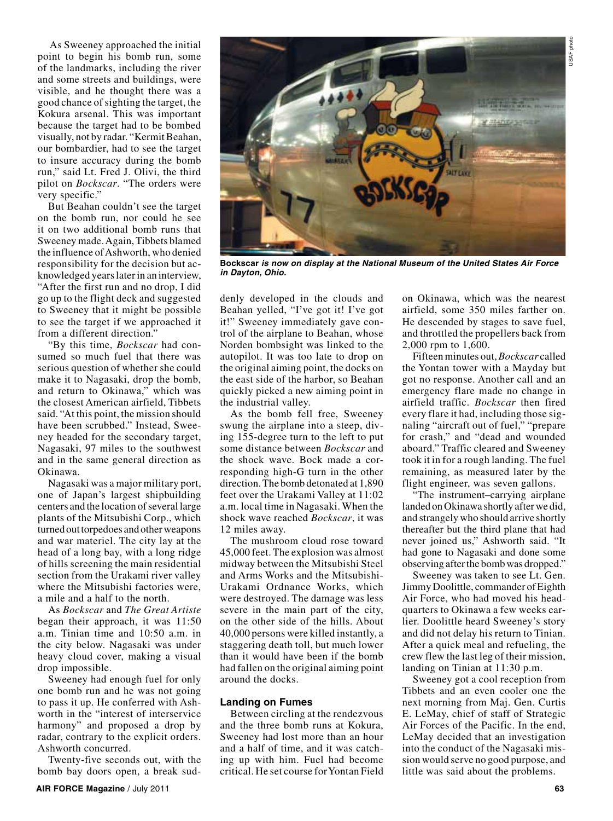USAF photoJSAF photo

 As Sweeney approached the initial point to begin his bomb run, some of the landmarks, including the river and some streets and buildings, were visible, and he thought there was a good chance of sighting the target, the Kokura arsenal. This was important because the target had to be bombed visually, not by radar. "Kermit Beahan, our bombardier, had to see the target to insure accuracy during the bomb run," said Lt. Fred J. Olivi, the third pilot on *Bockscar*. "The orders were very specific."

But Beahan couldn't see the target on the bomb run, nor could he see it on two additional bomb runs that Sweeney made. Again, Tibbets blamed the influence of Ashworth, who denied responsibility for the decision but acknowledged years later in an interview, "After the first run and no drop, I did go up to the flight deck and suggested to Sweeney that it might be possible to see the target if we approached it from a different direction."

"By this time, *Bockscar* had consumed so much fuel that there was serious question of whether she could make it to Nagasaki, drop the bomb, and return to Okinawa," which was the closest American airfield, Tibbets said. "At this point, the mission should have been scrubbed." Instead, Sweeney headed for the secondary target, Nagasaki, 97 miles to the southwest and in the same general direction as Okinawa.

Nagasaki was a major military port, one of Japan's largest shipbuilding centers and the location of several large plants of the Mitsubishi Corp., which turned out torpedoes and other weapons and war materiel. The city lay at the head of a long bay, with a long ridge of hills screening the main residential section from the Urakami river valley where the Mitsubishi factories were, a mile and a half to the north.

As *Bockscar* and *The Great Artiste* began their approach, it was 11:50 a.m. Tinian time and 10:50 a.m. in the city below. Nagasaki was under heavy cloud cover, making a visual drop impossible.

Sweeney had enough fuel for only one bomb run and he was not going to pass it up. He conferred with Ashworth in the "interest of interservice harmony" and proposed a drop by radar, contrary to the explicit orders. Ashworth concurred.

Twenty-five seconds out, with the bomb bay doors open, a break sud-





**Bockscar** *is now on display at the National Museum of the United States Air Force in Dayton, Ohio.*

denly developed in the clouds and Beahan yelled, "I've got it! I've got it!" Sweeney immediately gave control of the airplane to Beahan, whose Norden bombsight was linked to the autopilot. It was too late to drop on the original aiming point, the docks on the east side of the harbor, so Beahan quickly picked a new aiming point in the industrial valley.

As the bomb fell free, Sweeney swung the airplane into a steep, diving 155-degree turn to the left to put some distance between *Bockscar* and the shock wave. Bock made a corresponding high-G turn in the other direction. The bomb detonated at 1,890 feet over the Urakami Valley at 11:02 a.m. local time in Nagasaki. When the shock wave reached *Bockscar*, it was 12 miles away.

The mushroom cloud rose toward 45,000 feet. The explosion was almost midway between the Mitsubishi Steel and Arms Works and the Mitsubishi-Urakami Ordnance Works, which were destroyed. The damage was less severe in the main part of the city, on the other side of the hills. About 40,000 persons were killed instantly, a staggering death toll, but much lower than it would have been if the bomb had fallen on the original aiming point around the docks.

### **Landing on Fumes**

Between circling at the rendezvous and the three bomb runs at Kokura, Sweeney had lost more than an hour and a half of time, and it was catching up with him. Fuel had become critical. He set course for Yontan Field

on Okinawa, which was the nearest airfield, some 350 miles farther on. He descended by stages to save fuel, and throttled the propellers back from 2,000 rpm to 1,600.

Fifteen minutes out, *Bockscar* called the Yontan tower with a Mayday but got no response. Another call and an emergency flare made no change in airfield traffic. *Bockscar* then fired every flare it had, including those signaling "aircraft out of fuel," "prepare for crash," and "dead and wounded aboard." Traffic cleared and Sweeney took it in for a rough landing. The fuel remaining, as measured later by the flight engineer, was seven gallons.

"The instrument–carrying airplane landed on Okinawa shortly after we did, and strangely who should arrive shortly thereafter but the third plane that had never joined us," Ashworth said. "It had gone to Nagasaki and done some observing after the bomb was dropped."

Sweeney was taken to see Lt. Gen. Jimmy Doolittle, commander of Eighth Air Force, who had moved his headquarters to Okinawa a few weeks earlier. Doolittle heard Sweeney's story and did not delay his return to Tinian. After a quick meal and refueling, the crew flew the last leg of their mission, landing on Tinian at 11:30 p.m.

Sweeney got a cool reception from Tibbets and an even cooler one the next morning from Maj. Gen. Curtis E. LeMay, chief of staff of Strategic Air Forces of the Pacific. In the end, LeMay decided that an investigation into the conduct of the Nagasaki mission would serve no good purpose, and little was said about the problems.